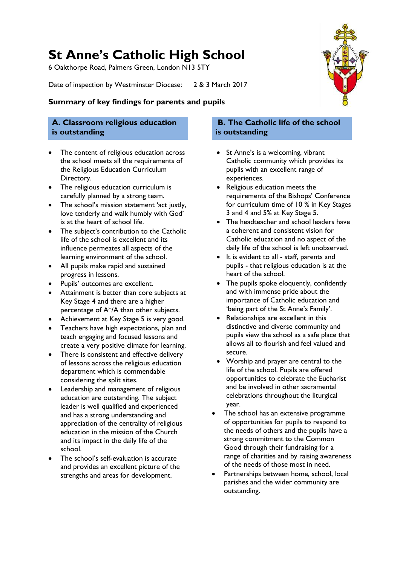# **St Anne's Catholic High School**

6 Oakthorpe Road, Palmers Green, London N13 5TY

Date of inspection by Westminster Diocese: 2 & 3 March 2017

### **Summary of key findings for parents and pupils**

### **A. Classroom religious education is outstanding**

- The content of religious education across the school meets all the requirements of the Religious Education Curriculum Directory.
- The religious education curriculum is carefully planned by a strong team.
- The school's mission statement 'act justly, love tenderly and walk humbly with God' is at the heart of school life.
- The subject's contribution to the Catholic life of the school is excellent and its influence permeates all aspects of the learning environment of the school.
- All pupils make rapid and sustained progress in lessons.
- Pupils' outcomes are excellent.
- Attainment is better than core subjects at Key Stage 4 and there are a higher percentage of A\*/A than other subjects.
- Achievement at Key Stage 5 is very good.
- Teachers have high expectations, plan and teach engaging and focused lessons and create a very positive climate for learning.
- There is consistent and effective delivery of lessons across the religious education department which is commendable considering the split sites.
- Leadership and management of religious education are outstanding. The subject leader is well qualified and experienced and has a strong understanding and appreciation of the centrality of religious education in the mission of the Church and its impact in the daily life of the school.
- The school's self-evaluation is accurate and provides an excellent picture of the strengths and areas for development.

### **B. The Catholic life of the school is outstanding**

- St Anne's is a welcoming, vibrant Catholic community which provides its pupils with an excellent range of experiences.
- Religious education meets the requirements of the Bishops' Conference for curriculum time of 10 % in Key Stages 3 and 4 and 5% at Key Stage 5.
- The headteacher and school leaders have a coherent and consistent vision for Catholic education and no aspect of the daily life of the school is left unobserved.
- It is evident to all staff, parents and pupils - that religious education is at the heart of the school.
- The pupils spoke eloquently, confidently and with immense pride about the importance of Catholic education and 'being part of the St Anne's Family'.
- Relationships are excellent in this distinctive and diverse community and pupils view the school as a safe place that allows all to flourish and feel valued and secure.
- Worship and prayer are central to the life of the school. Pupils are offered opportunities to celebrate the Eucharist and be involved in other sacramental celebrations throughout the liturgical year.
- The school has an extensive programme of opportunities for pupils to respond to the needs of others and the pupils have a strong commitment to the Common Good through their fundraising for a range of charities and by raising awareness of the needs of those most in need.
- Partnerships between home, school, local parishes and the wider community are outstanding.

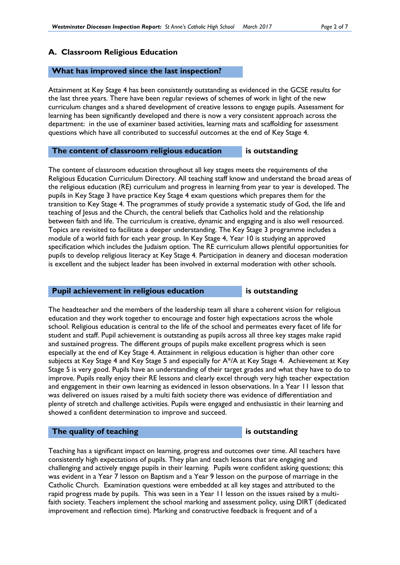#### **A. Classroom Religious Education**

#### **What has improved since the last inspection?**

Attainment at Key Stage 4 has been consistently outstanding as evidenced in the GCSE results for the last three years. There have been regular reviews of schemes of work in light of the new curriculum changes and a shared development of creative lessons to engage pupils. Assessment for learning has been significantly developed and there is now a very consistent approach across the department: in the use of examiner based activities, learning mats and scaffolding for assessment questions which have all contributed to successful outcomes at the end of Key Stage 4.

#### **The content of classroom religious education is outstanding**

The content of classroom education throughout all key stages meets the requirements of the Religious Education Curriculum Directory. All teaching staff know and understand the broad areas of the religious education (RE) curriculum and progress in learning from year to year is developed. The pupils in Key Stage 3 have practice Key Stage 4 exam questions which prepares them for the transition to Key Stage 4. The programmes of study provide a systematic study of God, the life and teaching of Jesus and the Church, the central beliefs that Catholics hold and the relationship between faith and life. The curriculum is creative, dynamic and engaging and is also well resourced. Topics are revisited to facilitate a deeper understanding. The Key Stage 3 programme includes a module of a world faith for each year group. In Key Stage 4, Year 10 is studying an approved specification which includes the Judaism option. The RE curriculum allows plentiful opportunities for pupils to develop religious literacy at Key Stage 4. Participation in deanery and diocesan moderation is excellent and the subject leader has been involved in external moderation with other schools.

#### **Pupil achievement in religious education** is outstanding

The headteacher and the members of the leadership team all share a coherent vision for religious education and they work together to encourage and foster high expectations across the whole school. Religious education is central to the life of the school and permeates every facet of life for student and staff. Pupil achievement is outstanding as pupils across all three key stages make rapid and sustained progress. The different groups of pupils make excellent progress which is seen especially at the end of Key Stage 4. Attainment in religious education is higher than other core subjects at Key Stage 4 and Key Stage 5 and especially for A\*/A at Key Stage 4. Achievement at Key Stage 5 is very good. Pupils have an understanding of their target grades and what they have to do to improve. Pupils really enjoy their RE lessons and clearly excel through very high teacher expectation and engagement in their own learning as evidenced in lesson observations. In a Year 11 lesson that was delivered on issues raised by a multi faith society there was evidence of differentiation and plenty of stretch and challenge activities. Pupils were engaged and enthusiastic in their learning and showed a confident determination to improve and succeed.

#### **The quality of teaching is outstanding**

Teaching has a significant impact on learning, progress and outcomes over time. All teachers have consistently high expectations of pupils. They plan and teach lessons that are engaging and challenging and actively engage pupils in their learning. Pupils were confident asking questions; this was evident in a Year 7 lesson on Baptism and a Year 9 lesson on the purpose of marriage in the Catholic Church. Examination questions were embedded at all key stages and attributed to the rapid progress made by pupils. This was seen in a Year 11 lesson on the issues raised by a multifaith society. Teachers implement the school marking and assessment policy, using DIRT (dedicated improvement and reflection time). Marking and constructive feedback is frequent and of a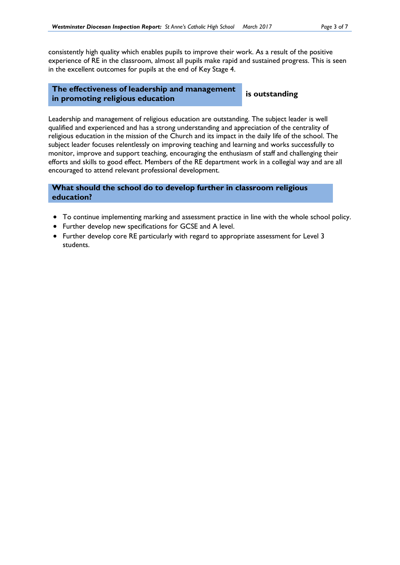consistently high quality which enables pupils to improve their work. As a result of the positive experience of RE in the classroom, almost all pupils make rapid and sustained progress. This is seen in the excellent outcomes for pupils at the end of Key Stage 4.

#### **The effectiveness of leadership and management in promoting religious education is outstanding**

Leadership and management of religious education are outstanding. The subject leader is well qualified and experienced and has a strong understanding and appreciation of the centrality of religious education in the mission of the Church and its impact in the daily life of the school. The subject leader focuses relentlessly on improving teaching and learning and works successfully to monitor, improve and support teaching, encouraging the enthusiasm of staff and challenging their efforts and skills to good effect. Members of the RE department work in a collegial way and are all encouraged to attend relevant professional development.

#### **What should the school do to develop further in classroom religious education?**

- To continue implementing marking and assessment practice in line with the whole school policy.
- Further develop new specifications for GCSE and A level.
- Further develop core RE particularly with regard to appropriate assessment for Level 3 students.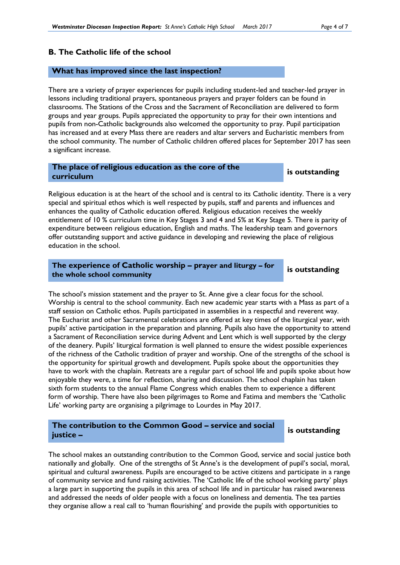#### **B. The Catholic life of the school**

#### **What has improved since the last inspection?**

There are a variety of prayer experiences for pupils including student-led and teacher-led prayer in lessons including traditional prayers, spontaneous prayers and prayer folders can be found in classrooms. The Stations of the Cross and the Sacrament of Reconciliation are delivered to form groups and year groups. Pupils appreciated the opportunity to pray for their own intentions and pupils from non-Catholic backgrounds also welcomed the opportunity to pray. Pupil participation has increased and at every Mass there are readers and altar servers and Eucharistic members from the school community. The number of Catholic children offered places for September 2017 has seen a significant increase.

# **The place of religious education as the core of the curriculum is outstanding**

Religious education is at the heart of the school and is central to its Catholic identity. There is a very special and spiritual ethos which is well respected by pupils, staff and parents and influences and enhances the quality of Catholic education offered. Religious education receives the weekly entitlement of 10 % curriculum time in Key Stages 3 and 4 and 5% at Key Stage 5. There is parity of expenditure between religious education, English and maths. The leadership team and governors offer outstanding support and active guidance in developing and reviewing the place of religious education in the school.

**The experience of Catholic worship – prayer and liturgy – for the whole school community is outstanding**

The school's mission statement and the prayer to St. Anne give a clear focus for the school. Worship is central to the school community. Each new academic year starts with a Mass as part of a staff session on Catholic ethos. Pupils participated in assemblies in a respectful and reverent way. The Eucharist and other Sacramental celebrations are offered at key times of the liturgical year, with pupils' active participation in the preparation and planning. Pupils also have the opportunity to attend a Sacrament of Reconciliation service during Advent and Lent which is well supported by the clergy of the deanery. Pupils' liturgical formation is well planned to ensure the widest possible experiences of the richness of the Catholic tradition of prayer and worship. One of the strengths of the school is the opportunity for spiritual growth and development. Pupils spoke about the opportunities they have to work with the chaplain. Retreats are a regular part of school life and pupils spoke about how enjoyable they were, a time for reflection, sharing and discussion. The school chaplain has taken sixth form students to the annual Flame Congress which enables them to experience a different form of worship. There have also been pilgrimages to Rome and Fatima and members the 'Catholic Life' working party are organising a pilgrimage to Lourdes in May 2017.

#### **The contribution to the Common Good – service and social justice –**

**is outstanding**

The school makes an outstanding contribution to the Common Good, service and social justice both nationally and globally. One of the strengths of St Anne's is the development of pupil's social, moral, spiritual and cultural awareness. Pupils are encouraged to be active citizens and participate in a range of community service and fund raising activities. The 'Catholic life of the school working party' plays a large part in supporting the pupils in this area of school life and in particular has raised awareness and addressed the needs of older people with a focus on loneliness and dementia. The tea parties they organise allow a real call to 'human flourishing' and provide the pupils with opportunities to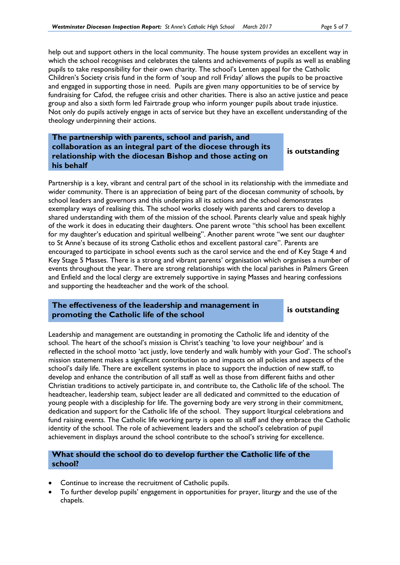help out and support others in the local community. The house system provides an excellent way in which the school recognises and celebrates the talents and achievements of pupils as well as enabling pupils to take responsibility for their own charity. The school's Lenten appeal for the Catholic Children's Society crisis fund in the form of 'soup and roll Friday' allows the pupils to be proactive and engaged in supporting those in need. Pupils are given many opportunities to be of service by fundraising for Cafod, the refugee crisis and other charities. There is also an active justice and peace group and also a sixth form led Fairtrade group who inform younger pupils about trade injustice. Not only do pupils actively engage in acts of service but they have an excellent understanding of the theology underpinning their actions.

**The partnership with parents, school and parish, and collaboration as an integral part of the diocese through its relationship with the diocesan Bishop and those acting on his behalf** 

**is outstanding**

Partnership is a key, vibrant and central part of the school in its relationship with the immediate and wider community. There is an appreciation of being part of the diocesan community of schools, by school leaders and governors and this underpins all its actions and the school demonstrates exemplary ways of realising this. The school works closely with parents and carers to develop a shared understanding with them of the mission of the school. Parents clearly value and speak highly of the work it does in educating their daughters. One parent wrote "this school has been excellent for my daughter's education and spiritual wellbeing". Another parent wrote "we sent our daughter to St Anne's because of its strong Catholic ethos and excellent pastoral care". Parents are encouraged to participate in school events such as the carol service and the end of Key Stage 4 and Key Stage 5 Masses. There is a strong and vibrant parents' organisation which organises a number of events throughout the year. There are strong relationships with the local parishes in Palmers Green and Enfield and the local clergy are extremely supportive in saying Masses and hearing confessions and supporting the headteacher and the work of the school.

#### **The effectiveness of the leadership and management in promoting the Catholic life of the school is outstanding**

Leadership and management are outstanding in promoting the Catholic life and identity of the school. The heart of the school's mission is Christ's teaching 'to love your neighbour' and is reflected in the school motto 'act justly, love tenderly and walk humbly with your God'. The school's mission statement makes a significant contribution to and impacts on all policies and aspects of the school's daily life. There are excellent systems in place to support the induction of new staff, to develop and enhance the contribution of all staff as well as those from different faiths and other Christian traditions to actively participate in, and contribute to, the Catholic life of the school. The headteacher, leadership team, subject leader are all dedicated and committed to the education of young people with a discipleship for life. The governing body are very strong in their commitment, dedication and support for the Catholic life of the school. They support liturgical celebrations and fund raising events. The Catholic life working party is open to all staff and they embrace the Catholic identity of the school. The role of achievement leaders and the school's celebration of pupil achievement in displays around the school contribute to the school's striving for excellence.

#### **What should the school do to develop further the Catholic life of the school?**

- Continue to increase the recruitment of Catholic pupils.
- To further develop pupils' engagement in opportunities for prayer, liturgy and the use of the chapels.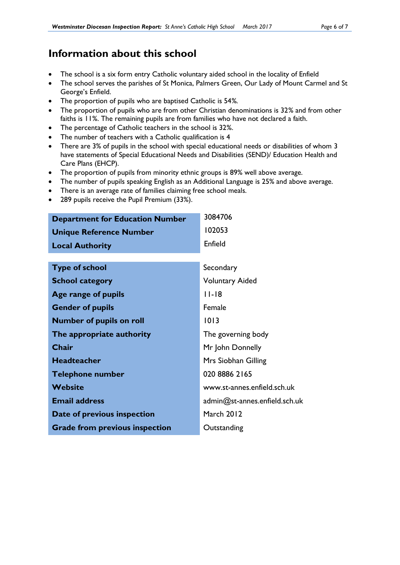## **Information about this school**

- The school is a six form entry Catholic voluntary aided school in the locality of Enfield
- The school serves the parishes of St Monica, Palmers Green, Our Lady of Mount Carmel and St George's Enfield.
- The proportion of pupils who are baptised Catholic is 54*%.*
- The proportion of pupils who are from other Christian denominations is 32*%* and from other faiths is 11*%*. The remaining pupils are from families who have not declared a faith.
- The percentage of Catholic teachers in the school is 32*%*.
- The number of teachers with a Catholic qualification is 4
- There are 3% of pupils in the school with special educational needs or disabilities of whom 3 have statements of Special Educational Needs and Disabilities (SEND)/ Education Health and Care Plans (EHCP).
- The proportion of pupils from minority ethnic groups is 89% well above average.
- The number of pupils speaking English as an Additional Language is 25% and above average.
- There is an average rate of families claiming free school meals.
- 289 pupils receive the Pupil Premium (33%).

| <b>Department for Education Number</b> | 3084706                       |
|----------------------------------------|-------------------------------|
| <b>Unique Reference Number</b>         | 102053                        |
| <b>Local Authority</b>                 | Enfield                       |
|                                        |                               |
| <b>Type of school</b>                  | Secondary                     |
| <b>School category</b>                 | <b>Voluntary Aided</b>        |
| Age range of pupils                    | $11 - 18$                     |
| <b>Gender of pupils</b>                | Female                        |
| <b>Number of pupils on roll</b>        | 1013                          |
| The appropriate authority              | The governing body            |
| <b>Chair</b>                           | Mr John Donnelly              |
| <b>Headteacher</b>                     | Mrs Siobhan Gilling           |
| <b>Telephone number</b>                | 020 8886 2165                 |
| <b>Website</b>                         | www.st-annes.enfield.sch.uk   |
| <b>Email address</b>                   | admin@st-annes.enfield.sch.uk |
| Date of previous inspection            | <b>March 2012</b>             |
| <b>Grade from previous inspection</b>  | Outstanding                   |
|                                        |                               |